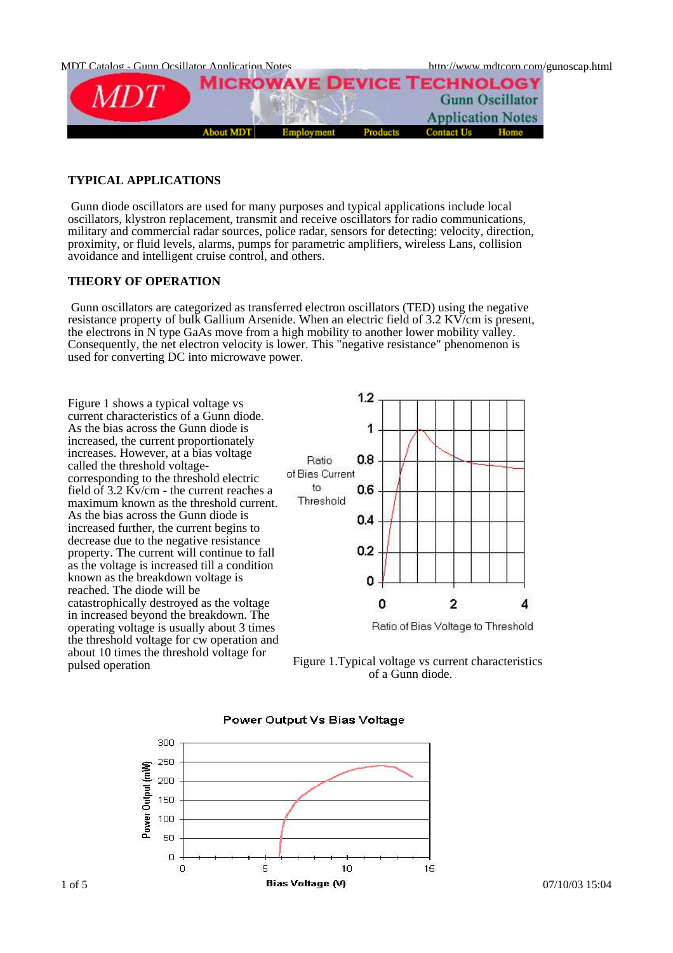

# **TYPICAL APPLICATIONS**

Gunn diode oscillators are used for many purposes and typical applications include local oscillators, klystron replacement, transmit and receive oscillators for radio communications, military and commercial radar sources, police radar, sensors for detecting: velocity, direction, proximity, or fluid levels, alarms, pumps for parametric amplifiers, wireless Lans, collision avoidance and intelligent cruise control, and others.

# **THEORY OF OPERATION**

Gunn oscillators are categorized as transferred electron oscillators (TED) using the negative resistance property of bulk Gallium Arsenide. When an electric field of 3.2 KV/cm is present, the electrons in N type GaAs move from a high mobility to another lower mobility valley. Consequently, the net electron velocity is lower. This "negative resistance" phenomenon is used for converting DC into microwave power.

Figure 1 shows a typical voltage vs current characteristics of a Gunn diode. As the bias across the Gunn diode is increased, the current proportionately increases. However, at a bias voltage called the threshold voltagecorresponding to the threshold electric field of 3.2 Kv/cm - the current reaches a maximum known as the threshold current. As the bias across the Gunn diode is increased further, the current begins to decrease due to the negative resistance property. The current will continue to fall as the voltage is increased till a condition known as the breakdown voltage is reached. The diode will be catastrophically destroyed as the voltage in increased beyond the breakdown. The operating voltage is usually about 3 times the threshold voltage for cw operation and about 10 times the threshold voltage for







## Power Output Vs Bias Voltage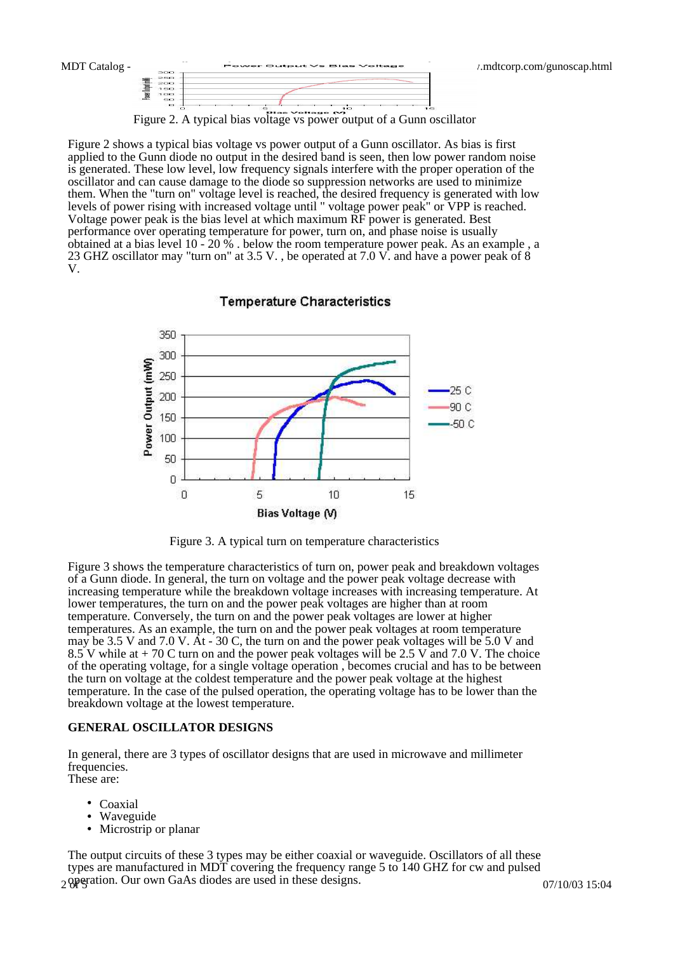

Figure 2. A typical bias voltage vs power output of a Gunn oscillator

Figure 2 shows a typical bias voltage vs power output of a Gunn oscillator. As bias is first applied to the Gunn diode no output in the desired band is seen, then low power random noise is generated. These low level, low frequency signals interfere with the proper operation of the oscillator and can cause damage to the diode so suppression networks are used to minimize them. When the "turn on" voltage level is reached, the desired frequency is generated with low levels of power rising with increased voltage until " voltage power peak" or VPP is reached. Voltage power peak is the bias level at which maximum RF power is generated. Best performance over operating temperature for power, turn on, and phase noise is usually obtained at a bias level  $10 - 20\%$ . below the room temperature power peak. As an example, a 23 GHZ oscillator may "turn on" at 3.5 V. , be operated at 7.0 V. and have a power peak of 8 V.



### **Temperature Characteristics**

Figure 3. A typical turn on temperature characteristics

Figure 3 shows the temperature characteristics of turn on, power peak and breakdown voltages of a Gunn diode. In general, the turn on voltage and the power peak voltage decrease with increasing temperature while the breakdown voltage increases with increasing temperature. At lower temperatures, the turn on and the power peak voltages are higher than at room temperature. Conversely, the turn on and the power peak voltages are lower at higher temperatures. As an example, the turn on and the power peak voltages at room temperature may be 3.5 V and 7.0 V. At - 30 C, the turn on and the power peak voltages will be 5.0 V and 8.5 V while at  $+70$  C turn on and the power peak voltages will be 2.5 V and 7.0 V. The choice of the operating voltage, for a single voltage operation , becomes crucial and has to be between the turn on voltage at the coldest temperature and the power peak voltage at the highest temperature. In the case of the pulsed operation, the operating voltage has to be lower than the breakdown voltage at the lowest temperature.

#### **GENERAL OSCILLATOR DESIGNS**

In general, there are 3 types of oscillator designs that are used in microwave and millimeter frequencies. These are:

- Coaxial
- Waveguide
- Microstrip or planar

2 operation. Our own GaAs diodes are used in these designs. 07/10/03 15:04 The output circuits of these 3 types may be either coaxial or waveguide. Oscillators of all these types are manufactured in MDT covering the frequency range 5 to 140 GHZ for cw and pulsed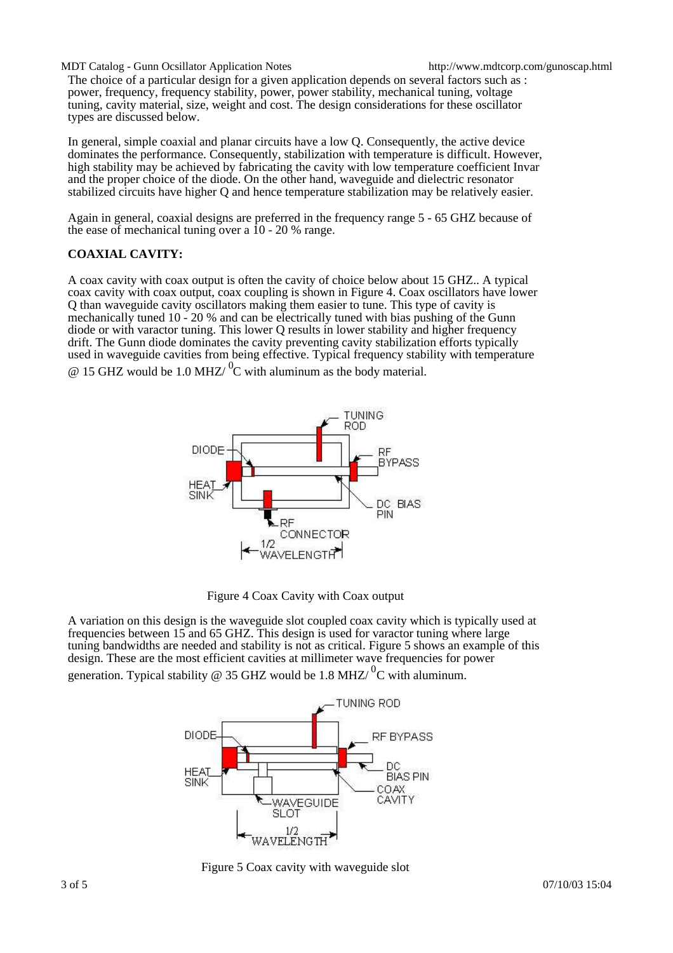MDT Catalog - Gunn Ocsillator Application Notes http://www.mdtcorp.com/gunoscap.html The choice of a particular design for a given application depends on several factors such as : power, frequency, frequency stability, power, power stability, mechanical tuning, voltage tuning, cavity material, size, weight and cost. The design considerations for these oscillator types are discussed below.

In general, simple coaxial and planar circuits have a low Q. Consequently, the active device dominates the performance. Consequently, stabilization with temperature is difficult. However, high stability may be achieved by fabricating the cavity with low temperature coefficient Invar and the proper choice of the diode. On the other hand, waveguide and dielectric resonator stabilized circuits have higher Q and hence temperature stabilization may be relatively easier.

Again in general, coaxial designs are preferred in the frequency range 5 - 65 GHZ because of the ease of mechanical tuning over a  $10 - 20$  % range.

# **COAXIAL CAVITY:**

A coax cavity with coax output is often the cavity of choice below about 15 GHZ.. A typical coax cavity with coax output, coax coupling is shown in Figure 4. Coax oscillators have lower Q than waveguide cavity oscillators making them easier to tune. This type of cavity is mechanically tuned 10 - 20 % and can be electrically tuned with bias pushing of the Gunn diode or with varactor tuning. This lower Q results in lower stability and higher frequency drift. The Gunn diode dominates the cavity preventing cavity stabilization efforts typically used in waveguide cavities from being effective. Typical frequency stability with temperature  $\omega$  15 GHZ would be 1.0 MHZ/<sup>0</sup>C with aluminum as the body material.



Figure 4 Coax Cavity with Coax output

A variation on this design is the waveguide slot coupled coax cavity which is typically used at frequencies between 15 and 65 GHZ. This design is used for varactor tuning where large tuning bandwidths are needed and stability is not as critical. Figure 5 shows an example of this design. These are the most efficient cavities at millimeter wave frequencies for power generation. Typical stability @ 35 GHZ would be 1.8 MHZ/ ${}^{0}C$  with aluminum.



Figure 5 Coax cavity with waveguide slot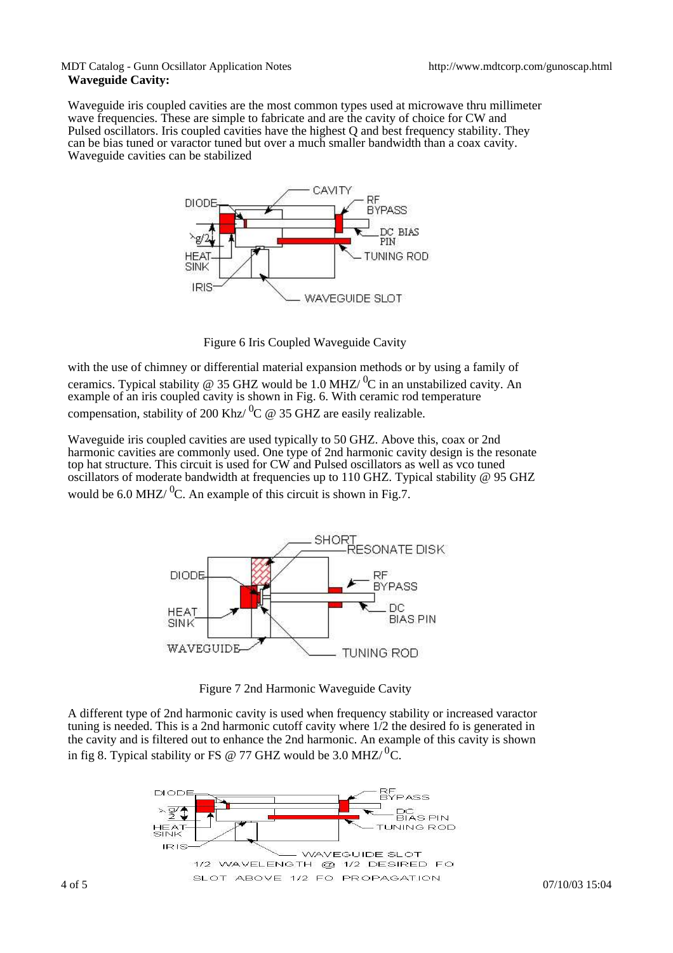## MDT Catalog - Gunn Ocsillator Application Notes http://www.mdtcorp.com/gunoscap.html **Waveguide Cavity:**

Waveguide iris coupled cavities are the most common types used at microwave thru millimeter wave frequencies. These are simple to fabricate and are the cavity of choice for CW and Pulsed oscillators. Iris coupled cavities have the highest Q and best frequency stability. They can be bias tuned or varactor tuned but over a much smaller bandwidth than a coax cavity. Waveguide cavities can be stabilized



Figure 6 Iris Coupled Waveguide Cavity

with the use of chimney or differential material expansion methods or by using a family of ceramics. Typical stability @ 35 GHZ would be 1.0 MHZ/ $\rm{^{0}C}$  in an unstabilized cavity. An example of an iris coupled cavity is shown in Fig. 6. With ceramic rod temperature compensation, stability of 200 Khz/ ${}^{0}C \text{ } @$  35 GHZ are easily realizable.

Waveguide iris coupled cavities are used typically to 50 GHZ. Above this, coax or 2nd harmonic cavities are commonly used. One type of 2nd harmonic cavity design is the resonate top hat structure. This circuit is used for CW and Pulsed oscillators as well as vco tuned oscillators of moderate bandwidth at frequencies up to 110 GHZ. Typical stability @ 95 GHZ would be 6.0 MHZ/ $^{0}C$ . An example of this circuit is shown in Fig.7.



Figure 7 2nd Harmonic Waveguide Cavity

A different type of 2nd harmonic cavity is used when frequency stability or increased varactor tuning is needed. This is a 2nd harmonic cutoff cavity where 1/2 the desired fo is generated in the cavity and is filtered out to enhance the 2nd harmonic. An example of this cavity is shown in fig 8. Typical stability or FS @ 77 GHZ would be 3.0 MHZ/<sup>0</sup>C.